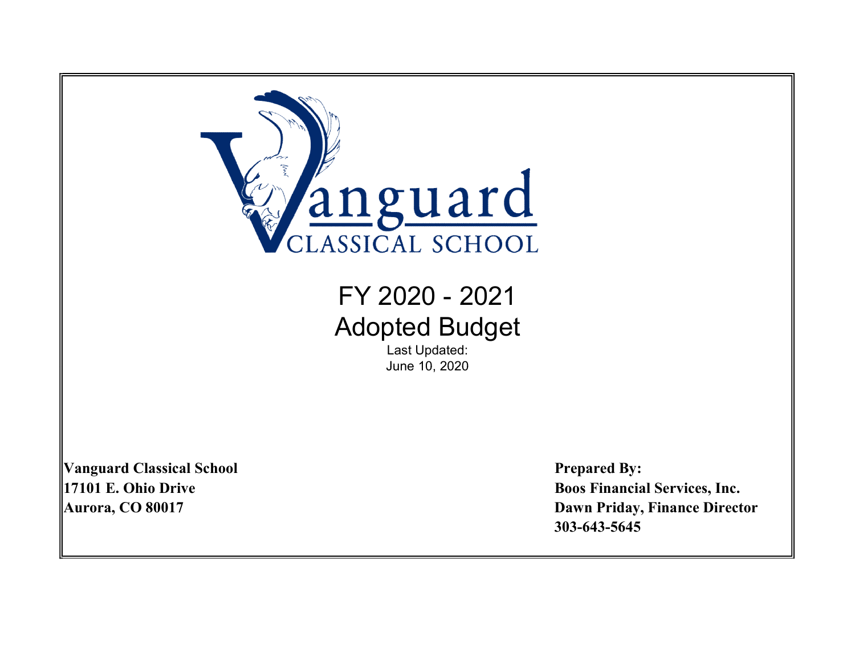

# FY 2020 - 2021 Adopted Budget

Last Updated: June 10, 2020

Vanguard Classical School Prepared By:

17101 E. Ohio Drive **Boos Financial Services**, Inc. Aurora, CO 80017 Dawn Priday, Finance Director 303-643-5645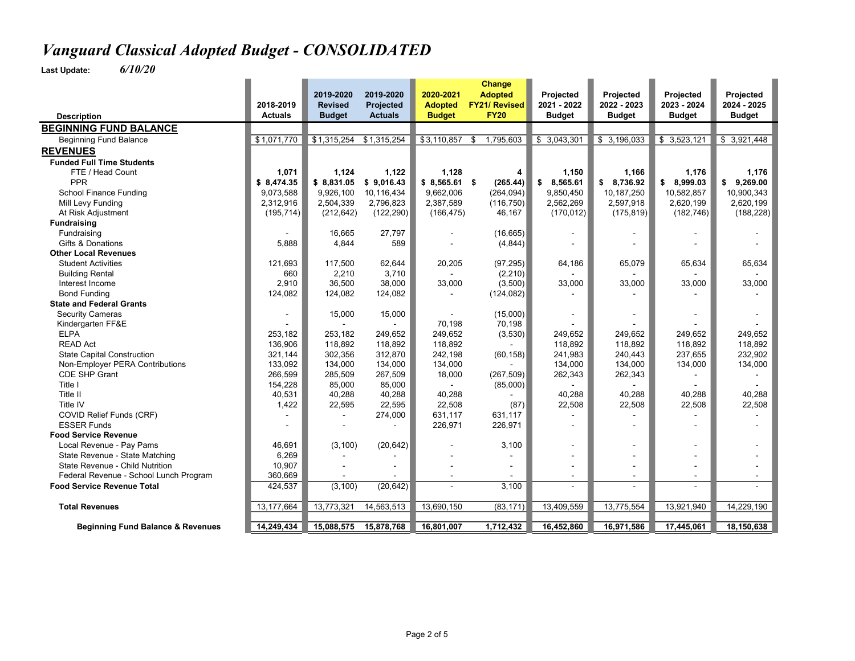|                                              |                | 2019-2020      | 2019-2020      | 2020-2021      | Change<br><b>Adopted</b>            | <b>Projected</b> | Projected      | Projected      | Projected     |
|----------------------------------------------|----------------|----------------|----------------|----------------|-------------------------------------|------------------|----------------|----------------|---------------|
|                                              | 2018-2019      | <b>Revised</b> | Projected      | <b>Adopted</b> | <b>FY21/ Revised</b><br><b>FY20</b> | 2021 - 2022      | 2022 - 2023    | 2023 - 2024    | 2024 - 2025   |
| <b>Description</b>                           | <b>Actuals</b> | <b>Budget</b>  | <b>Actuals</b> | <b>Budget</b>  |                                     | <b>Budget</b>    | <b>Budget</b>  | <b>Budget</b>  | <b>Budget</b> |
| <b>BEGINNING FUND BALANCE</b>                |                |                |                |                |                                     |                  |                |                |               |
| <b>Beginning Fund Balance</b>                | \$1,071,770    | \$1,315,254    | \$1,315,254    | \$3,110,857    | 1,795,603<br>\$                     | \$3,043,301      | \$3,196,033    | \$3,523,121    | \$3,921,448   |
| <b>REVENUES</b>                              |                |                |                |                |                                     |                  |                |                |               |
| <b>Funded Full Time Students</b>             |                |                |                |                |                                     |                  |                |                |               |
| FTE / Head Count                             | 1,071          | 1,124          | 1,122          | 1,128          | 4                                   | 1,150            | 1,166          | 1,176          | 1,176         |
| PPR                                          | \$8,474.35     | \$8,831.05     | \$9,016.43     | $$8,565.61$ \$ | (265.44)                            | 8,565.61<br>\$   | \$8,736.92     | \$8,999.03     | \$9,269.00    |
| School Finance Funding                       | 9,073,588      | 9,926,100      | 10,116,434     | 9,662,006      | (264, 094)                          | 9,850,450        | 10,187,250     | 10,582,857     | 10,900,343    |
| Mill Levy Funding                            | 2.312.916      | 2,504,339      | 2,796,823      | 2,387,589      | (116, 750)                          | 2,562,269        | 2,597,918      | 2,620,199      | 2,620,199     |
| At Risk Adjustment                           | (195, 714)     | (212, 642)     | (122, 290)     | (166, 475)     | 46,167                              | (170, 012)       | (175, 819)     | (182, 746)     | (188, 228)    |
| <b>Fundraising</b>                           |                |                |                |                |                                     |                  |                |                |               |
| Fundraising                                  |                | 16.665         | 27.797         |                | (16, 665)                           |                  |                |                |               |
| Gifts & Donations                            | 5,888          | 4,844          | 589            |                | (4, 844)                            |                  |                |                |               |
| <b>Other Local Revenues</b>                  |                |                |                |                |                                     |                  |                |                |               |
| <b>Student Activities</b>                    | 121,693        | 117,500        | 62,644         | 20,205         | (97, 295)                           | 64,186           | 65,079         | 65,634         | 65,634        |
| <b>Building Rental</b>                       | 660            | 2,210          | 3.710          |                | (2, 210)                            |                  |                |                |               |
| Interest Income                              | 2,910          | 36,500         | 38,000         | 33,000         | (3,500)                             | 33,000           | 33,000         | 33,000         | 33,000        |
| <b>Bond Funding</b>                          | 124,082        | 124,082        | 124,082        |                | (124, 082)                          |                  |                |                |               |
| <b>State and Federal Grants</b>              |                |                |                |                |                                     |                  |                |                |               |
| <b>Security Cameras</b>                      |                | 15,000         | 15,000         |                | (15,000)                            |                  |                |                |               |
| Kindergarten FF&E                            |                |                |                | 70,198         | 70,198                              |                  |                |                |               |
| <b>ELPA</b>                                  | 253.182        | 253,182        | 249.652        | 249,652        | (3,530)                             | 249.652          | 249,652        | 249,652        | 249.652       |
| <b>READ Act</b>                              | 136,906        | 118,892        | 118,892        | 118,892        |                                     | 118,892          | 118,892        | 118,892        | 118,892       |
| <b>State Capital Construction</b>            | 321,144        | 302,356        | 312,870        | 242,198        | (60, 158)                           | 241,983          | 240,443        | 237,655        | 232,902       |
| Non-Employer PERA Contributions              | 133,092        | 134,000        | 134,000        | 134,000        |                                     | 134,000          | 134,000        | 134,000        | 134,000       |
| CDE SHP Grant                                | 266,599        | 285,509        | 267,509        | 18,000         | (267, 509)                          | 262,343          | 262,343        |                |               |
| Title I                                      | 154,228        | 85,000         | 85,000         | $\sim$         | (85,000)                            |                  | $\blacksquare$ |                |               |
| Title II                                     | 40,531         | 40,288         | 40,288         | 40,288         |                                     | 40.288           | 40.288         | 40.288         | 40.288        |
| Title IV                                     | 1,422          | 22,595         | 22,595         | 22,508         | (87)                                | 22,508           | 22,508         | 22,508         | 22,508        |
| COVID Relief Funds (CRF)                     |                |                | 274,000        | 631,117        | 631,117                             |                  |                |                |               |
| <b>ESSER Funds</b>                           |                |                |                | 226,971        | 226,971                             |                  |                |                |               |
| <b>Food Service Revenue</b>                  |                |                |                |                |                                     |                  |                |                |               |
| Local Revenue - Pay Pams                     | 46.691         | (3, 100)       | (20, 642)      |                | 3,100                               |                  |                | $\blacksquare$ |               |
| State Revenue - State Matching               | 6,269          |                |                |                |                                     |                  |                |                |               |
| State Revenue - Child Nutrition              | 10,907         |                |                |                |                                     |                  |                |                |               |
| Federal Revenue - School Lunch Program       | 360,669        |                |                |                |                                     |                  |                |                |               |
| <b>Food Service Revenue Total</b>            | 424,537        | (3, 100)       | (20, 642)      |                | 3,100                               |                  |                | $\sim$         |               |
| <b>Total Revenues</b>                        | 13, 177, 664   | 13,773,321     | 14,563,513     | 13,690,150     | (83, 171)                           | 13,409,559       | 13,775,554     | 13,921,940     | 14,229,190    |
|                                              |                |                |                |                |                                     |                  |                |                |               |
| <b>Beginning Fund Balance &amp; Revenues</b> | 14,249,434     | 15,088,575     | 15,878,768     | 16,801,007     | 1,712,432                           | 16,452,860       | 16,971,586     | 17,445,061     | 18,150,638    |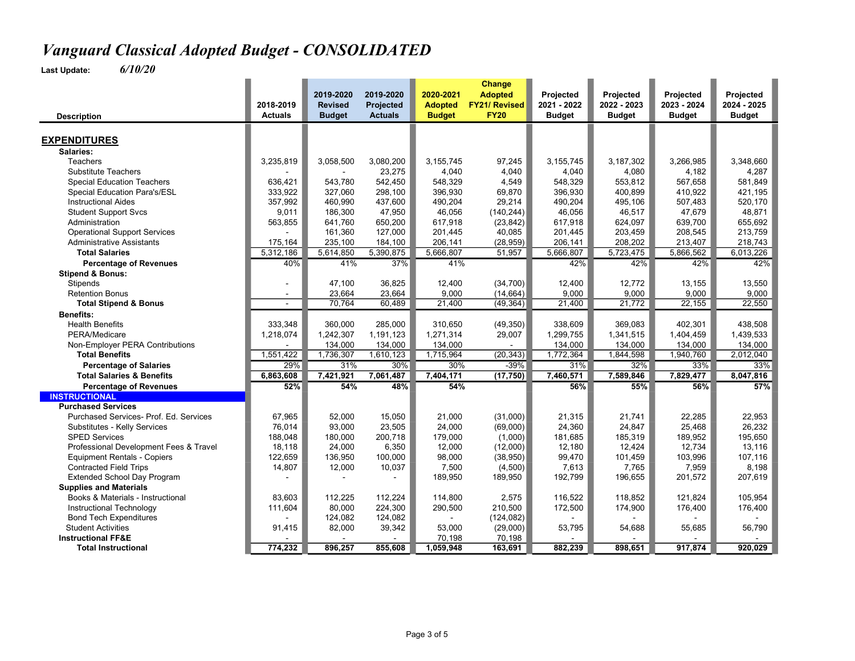|                                        |                             |                                 |                             |                                 | Change                              |                              |                              |                              |                          |
|----------------------------------------|-----------------------------|---------------------------------|-----------------------------|---------------------------------|-------------------------------------|------------------------------|------------------------------|------------------------------|--------------------------|
|                                        |                             | 2019-2020                       | 2019-2020                   | 2020-2021                       | <b>Adopted</b>                      | Projected                    | Projected                    | Projected                    | Projected<br>2024 - 2025 |
|                                        | 2018-2019<br><b>Actuals</b> | <b>Revised</b><br><b>Budget</b> | Projected<br><b>Actuals</b> | <b>Adopted</b><br><b>Budget</b> | <b>FY21/ Revised</b><br><b>FY20</b> | 2021 - 2022<br><b>Budget</b> | 2022 - 2023<br><b>Budget</b> | 2023 - 2024<br><b>Budget</b> | <b>Budget</b>            |
| <b>Description</b>                     |                             |                                 |                             |                                 |                                     |                              |                              |                              |                          |
| <b>EXPENDITURES</b>                    |                             |                                 |                             |                                 |                                     |                              |                              |                              |                          |
|                                        |                             |                                 |                             |                                 |                                     |                              |                              |                              |                          |
| Salaries:                              |                             |                                 |                             |                                 |                                     |                              |                              |                              |                          |
| <b>Teachers</b>                        | 3,235,819                   | 3,058,500                       | 3,080,200                   | 3,155,745                       | 97,245                              | 3, 155, 745                  | 3,187,302                    | 3,266,985                    | 3,348,660                |
| <b>Substitute Teachers</b>             |                             |                                 | 23,275                      | 4,040                           | 4,040                               | 4,040                        | 4,080                        | 4,182                        | 4,287                    |
| <b>Special Education Teachers</b>      | 636.421                     | 543,780                         | 542,450                     | 548,329                         | 4,549                               | 548,329                      | 553,812                      | 567,658                      | 581,849                  |
| Special Education Para's/ESL           | 333,922                     | 327,060                         | 298,100                     | 396,930                         | 69,870                              | 396,930                      | 400,899                      | 410,922                      | 421,195                  |
| <b>Instructional Aides</b>             | 357,992                     | 460,990                         | 437,600                     | 490,204                         | 29,214                              | 490,204                      | 495,106                      | 507,483                      | 520,170                  |
| <b>Student Support Svcs</b>            | 9,011                       | 186,300                         | 47,950                      | 46,056                          | (140, 244)                          | 46,056                       | 46,517                       | 47,679                       | 48,871                   |
| Administration                         | 563,855                     | 641,760                         | 650,200                     | 617,918                         | (23, 842)                           | 617,918                      | 624,097                      | 639,700                      | 655,692                  |
| <b>Operational Support Services</b>    |                             | 161,360                         | 127,000                     | 201,445                         | 40,085                              | 201,445                      | 203,459                      | 208,545                      | 213,759                  |
| <b>Administrative Assistants</b>       | 175,164                     | 235,100                         | 184,100                     | 206,141                         | (28, 959)                           | 206,141                      | 208,202                      | 213,407                      | 218,743                  |
| <b>Total Salaries</b>                  | 5,312,186                   | 5,614,850                       | 5,390,875                   | 5,666,807                       | 51,957                              | 5,666,807                    | 5,723,475                    | 5,866,562                    | 6,013,226                |
| <b>Percentage of Revenues</b>          | 40%                         | 41%                             | 37%                         | 41%                             |                                     | 42%                          | 42%                          | 42%                          | 42%                      |
| <b>Stipend &amp; Bonus:</b>            |                             |                                 |                             |                                 |                                     |                              |                              |                              |                          |
| Stipends                               | $\blacksquare$              | 47,100                          | 36,825                      | 12,400                          | (34, 700)                           | 12,400                       | 12,772                       | 13,155                       | 13,550                   |
| <b>Retention Bonus</b>                 | $\sim$                      | 23,664                          | 23,664                      | 9,000                           | (14, 664)                           | 9.000                        | 9,000                        | 9,000                        | 9,000                    |
| <b>Total Stipend &amp; Bonus</b>       | $\sim$                      | 70,764                          | 60,489                      | 21,400                          | (49, 364)                           | 21,400                       | 21,772                       | 22,155                       | 22,550                   |
| <b>Benefits:</b>                       |                             |                                 |                             |                                 |                                     |                              |                              |                              |                          |
| <b>Health Benefits</b>                 | 333,348                     | 360,000                         | 285,000                     | 310,650                         | (49, 350)                           | 338,609                      | 369,083                      | 402,301                      | 438,508                  |
| PERA/Medicare                          | 1,218,074                   | 1,242,307                       | 1,191,123                   | 1,271,314                       | 29,007                              | 1,299,755                    | 1,341,515                    | 1,404,459                    | 1,439,533                |
| Non-Employer PERA Contributions        |                             | 134,000                         | 134,000                     | 134,000                         |                                     | 134,000                      | 134,000                      | 134,000                      | 134,000                  |
| <b>Total Benefits</b>                  | 1,551,422                   | 1,736,307                       | 1,610,123                   | 1,715,964                       | (20, 343)                           | 1,772,364                    | 1,844,598                    | 1,940,760                    | 2,012,040                |
| <b>Percentage of Salaries</b>          | 29%                         | 31%                             | 30%                         | 30%                             | $-39%$                              | 31%                          | 32%                          | 33%                          | 33%                      |
| <b>Total Salaries &amp; Benefits</b>   | 6,863,608                   | 7,421,921                       | 7,061,487                   | 7,404,171                       | (17, 750)                           | 7,460,571                    | 7,589,846                    | 7,829,477                    | 8,047,816                |
| <b>Percentage of Revenues</b>          | 52%                         | 54%                             | 48%                         | 54%                             |                                     | 56%                          | 55%                          | 56%                          | 57%                      |
| <b>INSTRUCTIONAL</b>                   |                             |                                 |                             |                                 |                                     |                              |                              |                              |                          |
| <b>Purchased Services</b>              |                             |                                 |                             |                                 |                                     |                              |                              |                              |                          |
| Purchased Services- Prof. Ed. Services | 67,965                      | 52,000                          | 15,050                      | 21,000                          | (31,000)                            | 21,315                       | 21,741                       | 22,285                       | 22,953                   |
| Substitutes - Kelly Services           | 76,014                      | 93,000                          | 23,505                      | 24,000                          | (69,000)                            | 24,360                       | 24,847                       | 25,468                       | 26,232                   |
| <b>SPED Services</b>                   | 188,048                     | 180,000                         | 200,718                     | 179,000                         | (1,000)                             | 181,685                      | 185,319                      | 189,952                      | 195,650                  |
| Professional Development Fees & Travel | 18,118                      | 24.000                          | 6,350                       | 12,000                          | (12,000)                            | 12,180                       | 12,424                       | 12,734                       | 13,116                   |
| <b>Equipment Rentals - Copiers</b>     | 122.659                     | 136.950                         | 100.000                     | 98,000                          | (38, 950)                           | 99,470                       | 101,459                      | 103,996                      | 107,116                  |
| <b>Contracted Field Trips</b>          | 14,807                      | 12,000                          | 10,037                      | 7,500                           | (4,500)                             | 7,613                        | 7,765                        | 7,959                        | 8,198                    |
| <b>Extended School Day Program</b>     |                             |                                 |                             | 189,950                         | 189,950                             | 192,799                      | 196,655                      | 201,572                      | 207,619                  |
| <b>Supplies and Materials</b>          |                             |                                 |                             |                                 |                                     |                              |                              |                              |                          |
| Books & Materials - Instructional      | 83,603                      | 112,225                         | 112,224                     | 114,800                         | 2,575                               | 116,522                      | 118,852                      | 121,824                      | 105,954                  |
| Instructional Technology               | 111,604                     | 80,000                          | 224,300                     | 290,500                         | 210,500                             | 172,500                      | 174,900                      | 176,400                      | 176,400                  |
| <b>Bond Tech Expenditures</b>          |                             | 124,082                         | 124,082                     |                                 | (124, 082)                          |                              |                              |                              |                          |
| <b>Student Activities</b>              | 91.415                      | 82,000                          | 39,342                      | 53,000                          | (29,000)                            | 53,795                       | 54,688                       | 55,685                       | 56,790                   |
| <b>Instructional FF&amp;E</b>          |                             |                                 |                             | 70,198                          | 70,198                              |                              |                              |                              |                          |
| <b>Total Instructional</b>             | 774,232                     | 896,257                         | 855,608                     | 1,059,948                       | 163,691                             | 882,239                      | 898,651                      | 917,874                      | 920,029                  |
|                                        |                             |                                 |                             |                                 |                                     |                              |                              |                              |                          |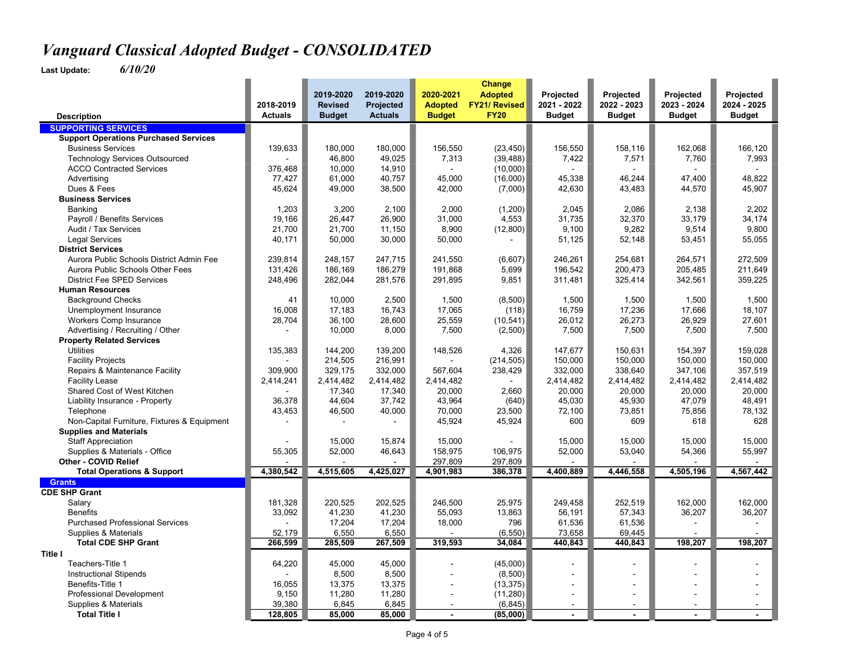|                                                  |                             | 2019-2020        | 2019-2020                          | 2020-2021                       | Change<br><b>Adopted</b>            | Projected                    | Projected                    | Projected                    | Projected     |
|--------------------------------------------------|-----------------------------|------------------|------------------------------------|---------------------------------|-------------------------------------|------------------------------|------------------------------|------------------------------|---------------|
|                                                  | 2018-2019<br><b>Actuals</b> | <b>Revised</b>   | <b>Projected</b><br><b>Actuals</b> | <b>Adopted</b><br><b>Budget</b> | <b>FY21/ Revised</b><br><b>FY20</b> | 2021 - 2022<br><b>Budget</b> | 2022 - 2023<br><b>Budget</b> | 2023 - 2024<br><b>Budget</b> | 2024 - 2025   |
| <b>Description</b><br><b>SUPPORTING SERVICES</b> |                             | <b>Budget</b>    |                                    |                                 |                                     |                              |                              |                              | <b>Budget</b> |
|                                                  |                             |                  |                                    |                                 |                                     |                              |                              |                              |               |
| <b>Support Operations Purchased Services</b>     |                             |                  |                                    |                                 |                                     |                              |                              |                              |               |
| <b>Business Services</b>                         | 139,633                     | 180,000          | 180,000                            | 156,550                         | (23, 450)                           | 156,550                      | 158,116                      | 162,068                      | 166,120       |
| <b>Technology Services Outsourced</b>            |                             | 46,800           | 49,025                             | 7,313                           | (39, 488)                           | 7,422                        | 7,571                        | 7,760                        | 7,993         |
| <b>ACCO Contracted Services</b>                  | 376,468                     | 10,000           | 14,910                             |                                 | (10,000)                            |                              |                              |                              |               |
| Advertising                                      | 77,427                      | 61,000           | 40,757                             | 45,000                          | (16,000)                            | 45,338                       | 46,244                       | 47,400                       | 48,822        |
| Dues & Fees                                      | 45,624                      | 49,000           | 38,500                             | 42,000                          | (7,000)                             | 42,630                       | 43,483                       | 44,570                       | 45,907        |
| <b>Business Services</b>                         |                             |                  |                                    |                                 |                                     |                              |                              |                              |               |
| Banking                                          | 1,203                       | 3,200            | 2,100                              | 2,000                           | (1,200)                             | 2,045                        | 2,086                        | 2,138                        | 2,202         |
| Payroll / Benefits Services                      | 19.166                      | 26.447           | 26.900                             | 31,000                          | 4,553                               | 31.735                       | 32,370                       | 33,179                       | 34.174        |
| Audit / Tax Services                             | 21,700                      | 21,700           | 11,150                             | 8,900                           | (12,800)                            | 9,100                        | 9,282                        | 9,514                        | 9,800         |
| <b>Legal Services</b>                            | 40,171                      | 50,000           | 30,000                             | 50,000                          |                                     | 51,125                       | 52,148                       | 53,451                       | 55,055        |
| <b>District Services</b>                         |                             |                  |                                    |                                 |                                     |                              |                              |                              |               |
| Aurora Public Schools District Admin Fee         | 239.814                     | 248.157          | 247,715                            | 241,550                         | (6,607)                             | 246,261                      | 254,681                      | 264,571                      | 272,509       |
| Aurora Public Schools Other Fees                 | 131,426                     | 186,169          | 186,279                            | 191,868                         | 5,699                               | 196,542                      | 200,473                      | 205,485                      | 211,649       |
| <b>District Fee SPED Services</b>                | 248,496                     | 282,044          | 281,576                            | 291,895                         | 9,851                               | 311,481                      | 325,414                      | 342,561                      | 359,225       |
| <b>Human Resources</b>                           |                             |                  |                                    |                                 |                                     |                              |                              |                              |               |
| <b>Background Checks</b>                         | 41                          | 10,000           | 2,500                              | 1,500                           | (8,500)                             | 1,500                        | 1,500                        | 1,500                        | 1,500         |
| Unemployment Insurance                           | 16.008                      | 17,183           | 16.743                             | 17,065                          | (118)                               | 16,759                       | 17,236                       | 17,666                       | 18,107        |
| <b>Workers Comp Insurance</b>                    | 28,704                      | 36,100           | 28,600                             | 25,559                          | (10, 541)                           | 26,012                       | 26,273                       | 26,929                       | 27,601        |
| Advertising / Recruiting / Other                 |                             | 10,000           | 8,000                              | 7,500                           | (2,500)                             | 7,500                        | 7,500                        | 7,500                        | 7,500         |
| <b>Property Related Services</b>                 |                             |                  |                                    |                                 |                                     |                              |                              |                              |               |
| <b>Utilities</b>                                 | 135,383                     | 144,200          | 139,200                            | 148,526                         | 4,326                               | 147,677                      | 150,631                      | 154,397                      | 159,028       |
| <b>Facility Projects</b>                         |                             | 214,505          | 216,991                            |                                 | (214, 505)                          | 150,000                      | 150,000                      | 150,000                      | 150,000       |
| Repairs & Maintenance Facility                   | 309.900                     | 329,175          | 332,000                            | 567,604                         | 238,429                             | 332,000                      | 338,640                      | 347,106                      | 357,519       |
| <b>Facility Lease</b>                            | 2,414,241                   | 2,414,482        | 2,414,482                          | 2,414,482                       |                                     | 2,414,482                    | 2,414,482                    | 2,414,482                    | 2,414,482     |
| Shared Cost of West Kitchen                      |                             | 17,340           | 17,340                             | 20,000                          | 2,660                               | 20,000                       | 20,000                       | 20,000                       | 20,000        |
| Liability Insurance - Property                   | 36.378                      | 44,604           | 37.742                             | 43,964                          | (640)                               | 45,030                       | 45,930                       | 47,079                       | 48,491        |
| Telephone                                        | 43,453                      | 46,500           | 40,000                             | 70,000                          | 23,500                              | 72,100                       | 73,851                       | 75,856                       | 78,132        |
| Non-Capital Furniture, Fixtures & Equipment      |                             |                  |                                    | 45,924                          | 45,924                              | 600                          | 609                          | 618                          | 628           |
| <b>Supplies and Materials</b>                    |                             |                  |                                    |                                 |                                     |                              |                              |                              |               |
| <b>Staff Appreciation</b>                        |                             | 15,000           | 15,874                             | 15,000                          |                                     | 15,000                       | 15,000                       | 15,000                       | 15,000        |
| Supplies & Materials - Office                    | 55,305                      | 52,000           | 46,643                             | 158,975                         | 106,975                             | 52,000                       | 53,040                       | 54,366                       | 55,997        |
| Other - COVID Relief                             |                             |                  |                                    | 297,809                         | 297,809                             |                              |                              |                              |               |
| <b>Total Operations &amp; Support</b>            | 4,380,542                   | 4,515,605        | 4,425,027                          | 4,901,983                       | 386,378                             | 4,400,889                    | 4,446,558                    | 4,505,196                    | 4,567,442     |
| <b>Grants</b><br><b>CDE SHP Grant</b>            |                             |                  |                                    |                                 |                                     |                              |                              |                              |               |
|                                                  |                             |                  |                                    |                                 |                                     |                              |                              |                              |               |
| Salary<br><b>Benefits</b>                        | 181,328                     | 220,525          | 202,525                            | 246,500                         | 25,975                              | 249,458                      | 252,519                      | 162,000                      | 162,000       |
|                                                  | 33,092                      | 41,230           | 41,230                             | 55,093                          | 13,863                              | 56,191                       | 57,343                       | 36,207                       | 36,207        |
| <b>Purchased Professional Services</b>           |                             | 17,204           | 17,204                             | 18,000                          | 796                                 | 61,536                       | 61,536                       |                              |               |
| Supplies & Materials                             | 52,179                      | 6,550            | 6,550                              |                                 | (6, 550)                            | 73,658                       | 69,445                       |                              |               |
| <b>Total CDE SHP Grant</b><br>Title I            | 266,599                     | 285,509          | 267,509                            | 319,593                         | 34,084                              | 440,843                      | 440,843                      | 198,207                      | 198,207       |
| Teachers-Title 1                                 | 64,220                      | 45,000           | 45,000                             |                                 | (45,000)                            |                              | $\blacksquare$               |                              |               |
| <b>Instructional Stipends</b>                    |                             | 8,500            | 8,500                              |                                 | (8,500)                             | $\blacksquare$               | ä,                           | $\blacksquare$               |               |
| Benefits-Title 1                                 |                             |                  |                                    |                                 |                                     |                              |                              |                              |               |
| <b>Professional Development</b>                  | 16,055<br>9,150             | 13,375<br>11,280 | 13,375<br>11,280                   |                                 | (13, 375)<br>(11, 280)              |                              |                              |                              |               |
| Supplies & Materials                             | 39,380                      | 6,845            | 6,845                              | ä,                              | (6, 845)                            | $\blacksquare$<br>$\sim$     | ä,<br>ä,                     |                              |               |
| <b>Total Title I</b>                             | 128,805                     | 85,000           | 85,000                             |                                 | (85,000)                            |                              |                              |                              |               |
|                                                  |                             |                  |                                    |                                 |                                     |                              |                              |                              |               |